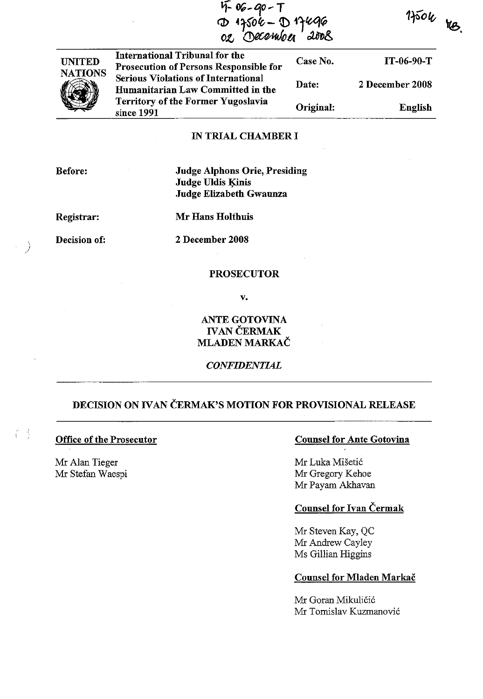|                | n-06-90-7<br>127506-D17496<br>02 December 2008                                  | $150\nu$  |                 |
|----------------|---------------------------------------------------------------------------------|-----------|-----------------|
| <b>UNITED</b>  | International Tribunal for the<br><b>Prosecution of Persons Responsible for</b> | Case No.  | IT-06-90-T      |
| <b>NATIONS</b> | <b>Serious Violations of International</b><br>Humanitarian Law Committed in the | Date:     | 2 December 2008 |
|                | <b>Territory of the Former Yugoslavia</b><br>since 1991                         | Original: | English         |

#### IN TRIAL CHAMBER I

Before:

Judge Alphons Orie, Presiding Judge Uldis Kinis Judge Elizabeth Gwaunza

Registrar:

Mr Hans Holthuis

Decision of:

)

-3 Ü

2 December 2008

## **PROSECUTOR**

v.

# ANTE GOTOVINA **IVAN ČERMAK** MLADEN MARKAC

# *CONFIDENTIAL*

# DECISION ON IVAN ČERMAK'S MOTION FOR PROVISIONAL RELEASE

# Office of the Prosecutor

Mr Alan Tieger Mr Stefan Waespi

# Counsel for Ante Gotovina

Mr Luka Misetic Mr Gregory Kehoe Mr Payarn Akhavan

# Counsel for Ivan Cermak

Mr Steven Kay, QC Mr Andrew Cayley Ms Gillian Higgins

#### Counsel for Mladen Markač

Mr Goran Mikuličić Mr Tomislav Kuzmanovic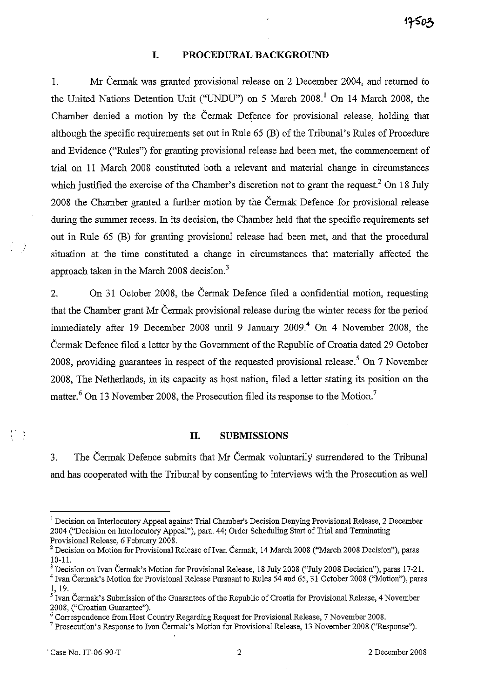# **I. PROCEDURAL BACKGROUND**

L Mr Cermak was granted provisional release on 2 December 2004, and returned to the United Nations Detention Unit ("UNDU") on 5 March 2008. 1 On **14** March 2008, the Chamber denied a motion by the Cermak Defence for provisional release, holding that although the specific requirements set out in Rule 65 (B) of the Tribunal's Ru1es of Procedure and Evidence ("Rules") for granting provisional release had been met, the commencement of trial on **11** March 2008 constituted both a relevant and material change in circumstances which justified the exercise of the Chamber's discretion not to grant the request.<sup>2</sup> On 18 July 2008 the Chamber granted a further motion by the Cermak Defence for provisional release during the summer recess. In its decision, the Chamber held that the specific requirements set out in Ru1e 65 (B) for granting provisional release had been met, and that the procedural situation at the time constituted a change in circumstances that materially affected the approach taken in the March 2008 decision.<sup>3</sup>

2. On 31 October 2008, the Cermak Defence filed a confidential motion, requesting that the Chamber grant Mr Cermak provisional release during the winter recess for the period immediately after 19 December 2008 until 9 January 2009.<sup>4</sup> On 4 November 2008, the Cermak Defence filed a letter by the Government of the Republic of Croatia dated 29 October 2008, providing guarantees in respect of the requested provisional release.<sup>5</sup> On 7 November 2008, The Netherlands, in its capacity as host nation, filed a letter stating its position on the matter.<sup>6</sup> On 13 November 2008, the Prosecution filed its response to the Motion.<sup>7</sup>

#### **II. SUBMISSIONS**

3. The Cermak Defence submits that Mr Cermak voluntarily surrendered to the Tribunal and has cooperated with the Tribunal by consenting to interviews with the Prosecution as well

<sup>3</sup> Decision on Ivan Čermak's Motion for Provisional Release, 18 July 2008 ("July 2008 Decision"), paras 17-21.

打开

<sup>&</sup>lt;sup>1</sup> Decision on Interlocutory Appeal against Trial Chamber's Decision Denying Provisional Release, 2 December 2004 ("Decision on Interlocutory Appeal"), para. 44; Order Scheduling Start of Trial and Terminating Provisional Release, 6 February 2008.

<sup>&</sup>lt;sup>2</sup> Decision on Motion for Provisional Release of Ivan Čermak, 14 March 2008 ("March 2008 Decision"), paras 10-11.

<sup>&</sup>lt;sup>4</sup> Ivan Čermak's Motion for Provisional Release Pursuant to Rules 54 and 65, 31 October 2008 ("Motion"), paras I, 19.

<sup>&</sup>lt;sup>5</sup> Ivan Čermak's Submission of the Guarantees of the Republic of Croatia for Provisional Release, 4 November 2008, ("Croatian Guarantee").

<sup>6</sup> Correspondence from Host Country Regarding Request for Provisional Release, 7 November 2008.

<sup>&</sup>lt;sup>7</sup> Prosecution's Response to Ivan Čermak's Motion for Provisional Release, 13 November 2008 ("Response").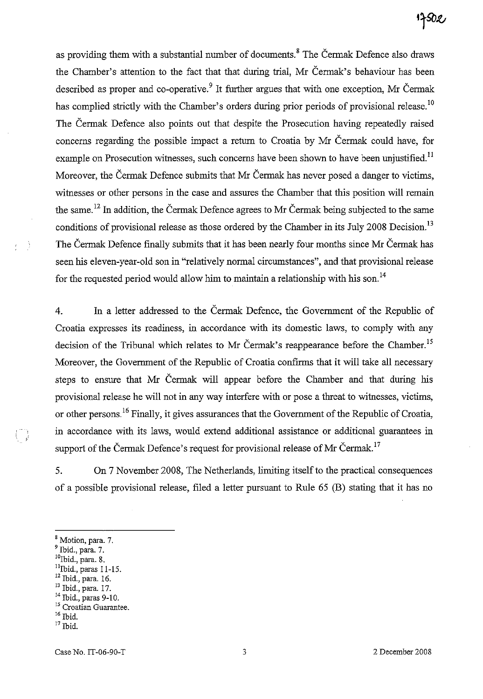# 17502

as providing them with a substantial number of documents.<sup>8</sup> The Cermak Defence also draws the Chamber's attention to the fact that that during trial, Mr Cermak's behaviour has been described as proper and co-operative.<sup>9</sup> It further argues that with one exception, Mr Čermak has complied strictly with the Chamber's orders during prior periods of provisional release.<sup>10</sup> The Čermak Defence also points out that despite the Prosecution having repeatedly raised concerns regarding the possible impact a return to Croatia by Mr Cermak could have, for example on Prosecution witnesses, such concerns have been shown to have been unjustified.<sup>11</sup> Moreover, the Cermak Defence submits that Mr Cermak has never posed a danger to victims, witnesses or other persons in the case and assures the Chamber that this position will remain the same.<sup>12</sup> In addition, the Čermak Defence agrees to Mr Čermak being subjected to the same conditions of provisional release as those ordered by the Chamber in its July 2008 Decision.<sup>13</sup> The Čermak Defence finally submits that it has been nearly four months since Mr Čermak has seen his eleven-year-old son in "relatively normal circumstances", and that provisional release for the requested period would allow him to maintain a relationship with his son.<sup>14</sup>

4. In a letter addressed to the Cermak Defence, the Government of the Republic of Croatia expresses its readiness, in accordance with its domestic laws, to comply with any decision of the Tribunal which relates to Mr Čermak's reappearance before the Chamber.<sup>15</sup> Moreover, the Government of the Republic of Croatia confirms that it will take all necessary steps to ensure that Mr Cermak will appear before the Chamber and that during his provisional release he will not in any way interfere with or pose a threat to witnesses, victims, or other persons.<sup>16</sup> Finally, it gives assurances that the Government of the Republic of Croatia, in accordance with its laws, would extend additional assistance or additional guarantees in support of the Čermak Defence's request for provisional release of Mr Čermak.<sup>17</sup>

5. On 7 November 2008, The Netherlands, limiting itself to the practical consequences of a possible provisional release, filed a letter pursuant to Rule 65 (B) stating that it has no

<sup>10</sup>Ibid., para. 8.

- 12 Ibid., para. 16.
- 13 Ibid., para. 17. 14 Ibid., paras 9-10.
- **15 Croatian Guarantee.**

17 Ibid.

I, IJ

- 3

<sup>8</sup> Motion, para. 7.

<sup>9</sup> Ibid., para. 7.

 $<sup>11</sup>$ Ibid., paras 11-15.</sup>

<sup>16</sup> Ibid.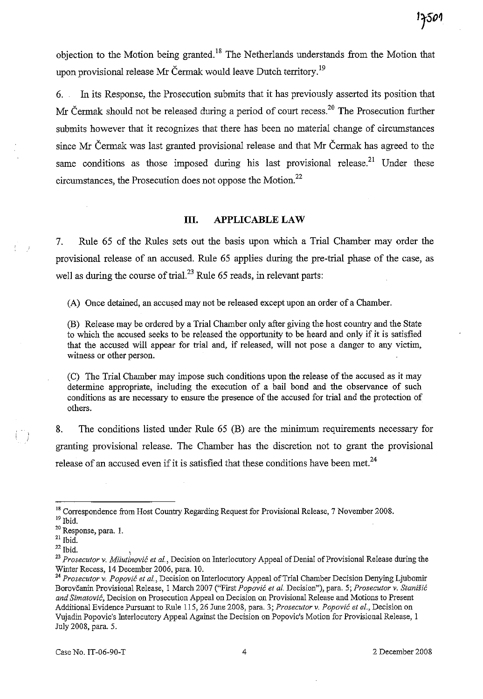objection to the Motion being granted.<sup>18</sup> The Netherlands understands from the Motion that upon provisional release Mr Čermak would leave Dutch territory.<sup>19</sup>

6. In its Response, the Prosecution submits that it has previously asserted its position that Mr Čermak should not be released during a period of court recess.<sup>20</sup> The Prosecution further submits however that it recognizes that there has been no material change of circumstances since Mr Cermak was last granted provisional release and that Mr Cermak has agreed to the same conditions as those imposed during his last provisional release.<sup>21</sup> Under these circumstances, the Prosecution does not oppose the Motion.<sup>22</sup>

#### **III. APPLICABLE LAW**

7. Rule 65 of the Rules sets out the basis upon which a Trial Chamber may order the provisional release of an accused. Rule 65 applies during the pre-trial phase of the case, as well as during the course of trial.<sup>23</sup> Rule 65 reads, in relevant parts:

(A) Once detained, an accused may not be released except upon an order of a Chamber.

(B) Release may be ordered by a Trial Chamber only after giving the host country and the State to which the accused seeks to be released the opportunity to be heard and only if it is satisfied that the accused will appear for trial and, if released, will not pose a danger to any victim, witness or other person.

(C) The Trial Chamber may impose such conditions upon the release of the accused as it may determine appropriate, including the execution of a bail bond and the observance of such conditions as are necessary to ensure the presence of the accused for trial and the protection of others.

8. The conditions listed under Rule 65 (B) are the minimum requirements necessary for granting provisional release. The Chamber has the discretion not to grant the provisional release of an accused even if it is satisfied that these conditions have been met.<sup>24</sup>

i

<sup>&</sup>lt;sup>18</sup> Correspondence from Host Country Regarding Request for Provisional Release, 7 November 2008.

 $^{\rm 19}$  Ibid.

<sup>&</sup>lt;sup>20</sup> Response, para. 1.

 $^{\rm 21}$  Ibid.

 $^{22}$  Ibid.

<sup>23</sup>*Prosecutor* v. *Milutinovic et al.,* Decision on Interlocutory Appeal of Denial of Provisional Release during the Winter Recess, 14 December 2006, para. 10.

<sup>24</sup>*Prosecutor* v. *Popovic et aI.,* Decision on Interlocutory Appeal of Trial Chamber Decision Denying Ljubomir Borovcanin Provisional Release, I March 2007 ("First *Popovic et al.* Decision"), para. 5; *Prosecutor* v. *Stanisic and Simatovic,* **Decision on Prosecution Appeal on Decision on Provisional Release and Motions to Present**  Additional Evidence Pursuant to Rule 115,26 June 2008, para. 3; *Prosecutor v. Popovic et al.,* Decision on Vujadin Popovic's Interlocutory Appeal Against the Decision on Popovic's Motion for Provisional Release, I July 2008, para. 5.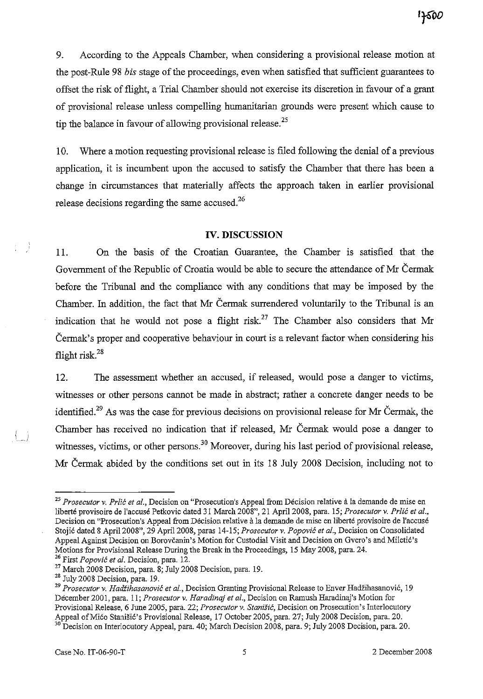17500

9. According to the Appeals Chamber, when considering a provisional release motion at the post-Rule 98 *bis* stage of the proceedings, even when satisfied that sufficient guarantees to offset the risk of flight, a Trial Chamber should not exercise its discretion in favour of a grant of provisional release unless compelling humanitarian grounds were present which cause to tip the balance in favour of allowing provisional release.<sup>25</sup>

10. Where a motion requesting provisional release is filed following the denial of a previous application, it is incumbent upon the accused to satisfy the Chamber that there has been a change in circumstances that materially affects the approach taken in earlier provisional release decisions regarding the same accused.<sup>26</sup>

# **IV. DISCUSSION**

11. On the basis of the Croatian Guarantee, the Chamber is satisfied that the Government of the Republic of Croatia would be able to secure the attendance of Mr Cermak before the Tribunal and the compliance with any conditions that may be imposed by the Chamber. In addition, the fact that Mr Cermak surrendered voluntarily to the Tribunal is an indication that he would not pose a flight risk.<sup>27</sup> The Chamber also considers that Mr Cermak's proper and cooperative behaviour in court is a relevant factor when considering his flight risk.<sup>28</sup>

12. The assessment whether an accused, if released, would pose a danger to victims, witnesses or other persons cannot be made in abstract; rather a concrete danger needs to be identified.<sup>29</sup> As was the case for previous decisions on provisional release for Mr Čermak, the Chamber has received no indication that if released, Mr Cermak would pose a danger to witnesses, victims, or other persons.<sup>30</sup> Moreover, during his last period of provisional release, Mr Cermak abided by the conditions set out in its 18 July 2008 Decision, including not to

*<sup>25</sup> Prosecutor* **v.** *Prlic et al.,* **Decision on "Prosecution's Appeal from Decision relative ala demande de mise en**  liberté provisoire de l'accusé Petkovic dated 31 March 2008", 21 April 2008, para. 15; *Prosecutor v. Prlić et al.*, **Decision on "Prosecution's Appeal from Decision relative a la demande de mise en liberte provisoire de l'accuse**  Stoji6 dated 8 April 2008", 29 April 2008, paras 14-15; *Prosecutor* v. *Popovic* el *aI.,* Decision on Consolidated Appeal Against Decision on Borovčanin's Motion for Custodial Visit and Decision on Gvero's and Miletić's Motions for Provisional Release During the Break in the Proceedings, 15 May 2008, para. 24. 26 First *Popovic* el *al.* Decision, para. 12.

<sup>27</sup> March 2008 Decision, para. 8; July 2008 Decision, para. 19.

<sup>28</sup> July 2008 Decision, para. 19.

<sup>&</sup>lt;sup>29</sup> Prosecutor v. *Hadžihasanović et al.*, Decision Granting Provisional Release to Enver Hadžihasanović, 19 December 2001, para. 11; *Prosecutor v. Haradinaj et al.*, Decision on Ramush Haradinaj's Motion for **Provisional Release, 6 June 2005, para. 22;** *Prosecutor* **v. Stanisic, Decision on Prosecution's Interlocutory**  Appeal of Mićo Stanišić's Provisional Release, 17 October 2005, para. 27; July 2008 Decision, para. 20. <sup>30</sup> Decision on Interlocutory Appeal, para. 40; March Decision 2008, para. 9; July 2008 Decision, para. 20.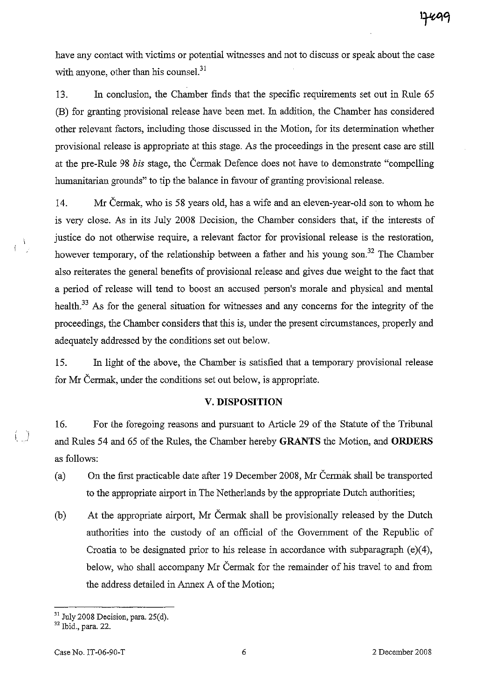have any contact with victims or potential witnesses and not to discuss or speak about the case with anyone, other than his counsel. $31$ 

13. In conclusion, the Chamber finds that the specific requirements set out in Rule 65 (B) for granting provisional release have been met. In addition, the Chamber has considered other relevant factors, including those discussed in the Motion, for its determination whether provisional release is appropriate at this stage. As the proceedings in the present case are still at the pre-RuIe 98 *bis* stage, the Cermak Defence does not have to demonstrate "compelling humanitarian grounds" to tip the balance in favour of granting provisional release.

14. Mr Cermak, who is 58 years old, has a wife and an eleven-year-old son to whom he is very close. As in its JuIy 2008 Decision, the Chamber considers that, if the interests of justice do not otherwise require, a relevant factor for provisional release is the restoration, however temporary, of the relationship between a father and his young son.<sup>32</sup> The Chamber also reiterates the general benefits of provisional release and gives due weight to the fact that a period of release will tend to boost an accused person's morale and physical and mental health.<sup>33</sup> As for the general situation for witnesses and any concerns for the integrity of the proceedings, the Chamber considers that this is, under the present circumstances, properly and adequately addressed by the conditions set out below.

15. In light of the above, the Chamber is satisfied that a temporary provisional release for Mr Cermak, under the conditions set out below, is appropriate.

# **V. DISPOSITION**

16. For the foregoing reasons and pursuant to Article 29 of the Statute of the Tribunal and RuIes 54 and 65 of the Rules, the Chamber hereby **GRANTS** the Motion, and **ORDERS**  as follows:

- (a) On the first practicable date after 19 December 2008, Mr Cermak shall be transported to the appropriate airport in The Netherlands by the appropriate Dutch authorities;
- (b) At the appropriate airport, Mr Cermak shall be provisionally released by the Dutch authorities into the custody of an official of the Government of the Republic of Croatia to be designated prior to his release in accordance with subparagraph (e)(4), below, who shall accompany Mr Cermak for the remainder of his travel to and from the address detailed in Annex A of the Motion;

 $\Lambda$ 

<sup>&</sup>lt;sup>31</sup> July 2008 Decision, para. 25(d).

<sup>32</sup> Ibid., para. 22.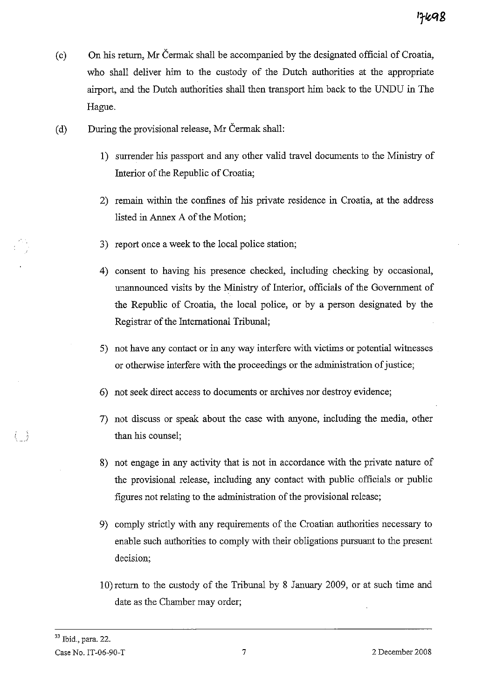- (c) On his return, Mr Cennak shall be accompanied by the designated official of Croatia, who shall deliver him to the custody of the Dutch authorities at the appropriate airport, and the Dutch authorities shall then transport him back to the UNDU in The Hague.
- (d) During the provisional release, Mr Čermak shall:
	- 1) surrender his passport and any other valid travel documents to the Ministry of Interior of the Republic of Croatia;
	- 2) remain within the confines of his private residence in Croatia, at the address listed in Annex A of the Motion;
	- 3) report once a week to the local police station;
	- 4) consent to having his presence checked, including checking by occasional, unannounced visits by the Ministry of Interior, officials of the Government of the Republic of Croatia, the local police, or by a person designated by the Registrar of the International Tribunal;
	- 5) not have any contact or in any way interfere with victims or potential witnesses or otherwise interfere with the proceedings or the administration of justice;
	- 6) not seek direct access to documents or archives nor destroy evidence;
	- 7) not discuss or speak about the case with anyone, including the media, other than his counsel;
	- 8) not engage in any activity that is not in accordance with the private nature of the provisional release, including any contact with public officials or public figures not relating to the administration of the provisional release;
	- 9) comply strictly with any requirements of the Croatian authorities necessary to enable such authorities to comply with their obligations pursuant to the present decision;
	- 10) return to the custody of the Tribunal by 8 January 2009, or at such time and date as the Chamber may order;

 $\langle -\rangle$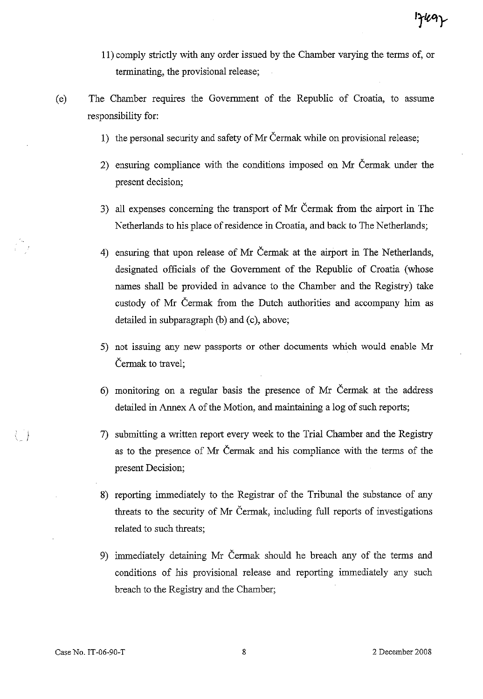- **11)** comply strictly with any order issued by the Chamber varying the terms of, or terminating, the provisional release;
- (e) The Chamber requires the Government of the Republic of Croatia, to assume responsibility for:
	- I) the personal security and safety of Mr Cermak while on provisional release;
	- 2) ensuring compliance with the conditions imposed on Mr Cermak under the present decision;
	- 3) all expenses concerning the transport of Mr Cermak from the airport in The Netherlands to his place of residence in Croatia, and back to The Netherlands;
	- 4) ensuring that upon release of Mr Cermak at the airport in The Netherlands, designated officials of the Government of the Republic of Croatia (whose names shall be provided in advance to the Chamber and the Registry) take custody of Mr Cermak from the Dutch authorities and accompany him as detailed in subparagraph (b) and (c), above;
	- 5) not issuing any new passports or other documents which would enable Mr Cermak to travel;
	- 6) monitoring on a regular basis the presence of Mr Cermak at the address detailed in Annex A of the Motion, and maintaining a log of such reports;
	- 7) submitting a written report every week to the Trial Chamber and the Registry as to the presence of Mr Cermak and his compliance with the terms of the present Decision;
	- 8) reporting immediately to the Registrar of the Tribunal the substance of any threats to the security of Mr Cermak, including full reports of investigations related to such threats;
	- 9) immediately detaining Mr Cermak should he breach any of the terms and conditions of his provisional release and reporting immediately any such breach to the Registry and the Chamber;

 $\langle \ \ \rangle$